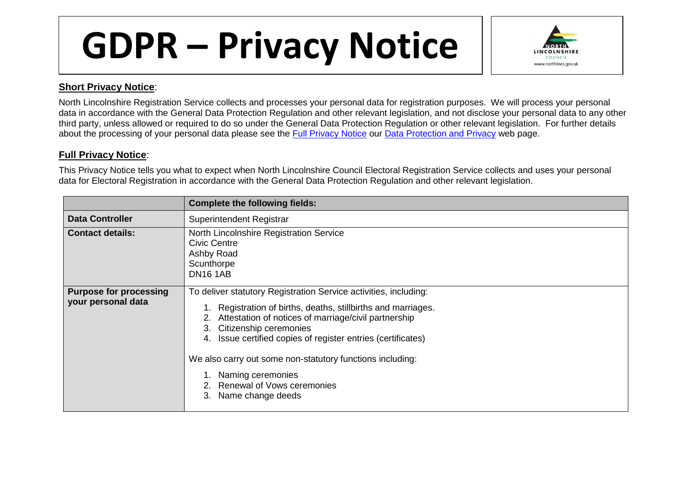## **GDPR – Privacy Notice**



## **Short Privacy Notice**:

North Lincolnshire Registration Service collects and processes your personal data for registration purposes. We will process your personal data in accordance with the General Data Protection Regulation and other relevant legislation, and not disclose your personal data to any other third party, unless allowed or required to do so under the General Data Protection Regulation or other relevant legislation. For further details about the processing of your personal data please see the [Full Privacy Notice](http://www.northlincs.gov.uk/site/privacy/) our [Data Protection and Privacy](http://www.northlincs.gov.uk/your-council/information-and-performance/information-governance/dataprotection/) web page.

## **Full Privacy Notice**:

This Privacy Notice tells you what to expect when North Lincolnshire Council Electoral Registration Service collects and uses your personal data for Electoral Registration in accordance with the General Data Protection Regulation and other relevant legislation.

|                                                     | <b>Complete the following fields:</b>                                                                                                                                                                                                                                                                                                                                                                                                      |
|-----------------------------------------------------|--------------------------------------------------------------------------------------------------------------------------------------------------------------------------------------------------------------------------------------------------------------------------------------------------------------------------------------------------------------------------------------------------------------------------------------------|
| <b>Data Controller</b>                              | Superintendent Registrar                                                                                                                                                                                                                                                                                                                                                                                                                   |
| <b>Contact details:</b>                             | North Lincolnshire Registration Service<br><b>Civic Centre</b><br>Ashby Road<br>Scunthorpe<br><b>DN16 1AB</b>                                                                                                                                                                                                                                                                                                                              |
| <b>Purpose for processing</b><br>your personal data | To deliver statutory Registration Service activities, including:<br>Registration of births, deaths, stillbirths and marriages.<br>Attestation of notices of marriage/civil partnership<br>2.<br>Citizenship ceremonies<br>3.<br>Issue certified copies of register entries (certificates)<br>4.<br>We also carry out some non-statutory functions including:<br>Naming ceremonies<br>Renewal of Vows ceremonies<br>Name change deeds<br>З. |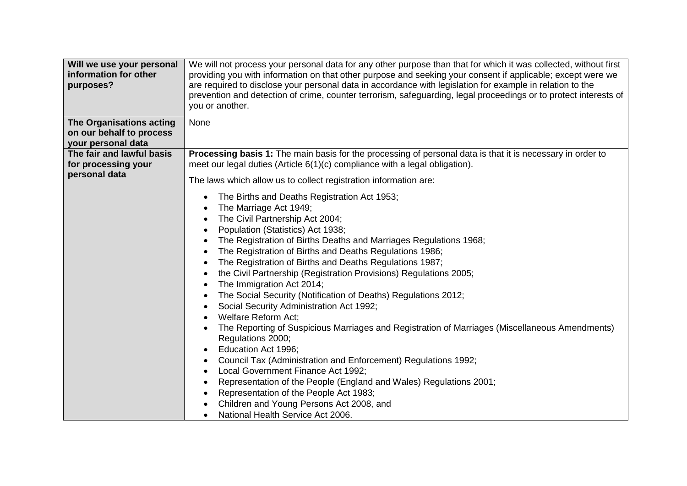| Will we use your personal<br>information for other<br>purposes?            | We will not process your personal data for any other purpose than that for which it was collected, without first<br>providing you with information on that other purpose and seeking your consent if applicable; except were we<br>are required to disclose your personal data in accordance with legislation for example in relation to the<br>prevention and detection of crime, counter terrorism, safeguarding, legal proceedings or to protect interests of<br>you or another.                                                                                                                                                                                                                                                                                                                                                                                                                                                                                                                                                                  |
|----------------------------------------------------------------------------|------------------------------------------------------------------------------------------------------------------------------------------------------------------------------------------------------------------------------------------------------------------------------------------------------------------------------------------------------------------------------------------------------------------------------------------------------------------------------------------------------------------------------------------------------------------------------------------------------------------------------------------------------------------------------------------------------------------------------------------------------------------------------------------------------------------------------------------------------------------------------------------------------------------------------------------------------------------------------------------------------------------------------------------------------|
| The Organisations acting<br>on our behalf to process<br>your personal data | None                                                                                                                                                                                                                                                                                                                                                                                                                                                                                                                                                                                                                                                                                                                                                                                                                                                                                                                                                                                                                                                 |
| The fair and lawful basis<br>for processing your<br>personal data          | Processing basis 1: The main basis for the processing of personal data is that it is necessary in order to<br>meet our legal duties (Article 6(1)(c) compliance with a legal obligation).<br>The laws which allow us to collect registration information are:                                                                                                                                                                                                                                                                                                                                                                                                                                                                                                                                                                                                                                                                                                                                                                                        |
|                                                                            | The Births and Deaths Registration Act 1953;<br>The Marriage Act 1949;<br>The Civil Partnership Act 2004;<br>Population (Statistics) Act 1938;<br>The Registration of Births Deaths and Marriages Regulations 1968;<br>The Registration of Births and Deaths Regulations 1986;<br>The Registration of Births and Deaths Regulations 1987;<br>the Civil Partnership (Registration Provisions) Regulations 2005;<br>The Immigration Act 2014;<br>The Social Security (Notification of Deaths) Regulations 2012;<br>Social Security Administration Act 1992;<br>Welfare Reform Act;<br>The Reporting of Suspicious Marriages and Registration of Marriages (Miscellaneous Amendments)<br>Regulations 2000;<br>Education Act 1996;<br>Council Tax (Administration and Enforcement) Regulations 1992;<br>$\bullet$<br>Local Government Finance Act 1992;<br>Representation of the People (England and Wales) Regulations 2001;<br>Representation of the People Act 1983;<br>Children and Young Persons Act 2008, and<br>National Health Service Act 2006. |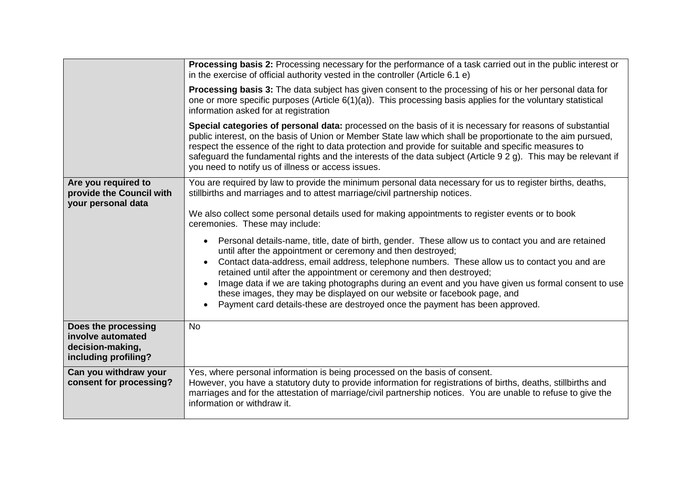|                                                                                      | Processing basis 2: Processing necessary for the performance of a task carried out in the public interest or<br>in the exercise of official authority vested in the controller (Article 6.1 e)<br><b>Processing basis 3:</b> The data subject has given consent to the processing of his or her personal data for<br>one or more specific purposes (Article $6(1)(a)$ ). This processing basis applies for the voluntary statistical<br>information asked for at registration<br>Special categories of personal data: processed on the basis of it is necessary for reasons of substantial<br>public interest, on the basis of Union or Member State law which shall be proportionate to the aim pursued,<br>respect the essence of the right to data protection and provide for suitable and specific measures to<br>safeguard the fundamental rights and the interests of the data subject (Article 9 2 g). This may be relevant if<br>you need to notify us of illness or access issues. |
|--------------------------------------------------------------------------------------|---------------------------------------------------------------------------------------------------------------------------------------------------------------------------------------------------------------------------------------------------------------------------------------------------------------------------------------------------------------------------------------------------------------------------------------------------------------------------------------------------------------------------------------------------------------------------------------------------------------------------------------------------------------------------------------------------------------------------------------------------------------------------------------------------------------------------------------------------------------------------------------------------------------------------------------------------------------------------------------------|
| Are you required to<br>provide the Council with<br>your personal data                | You are required by law to provide the minimum personal data necessary for us to register births, deaths,<br>stillbirths and marriages and to attest marriage/civil partnership notices.<br>We also collect some personal details used for making appointments to register events or to book<br>ceremonies. These may include:<br>Personal details-name, title, date of birth, gender. These allow us to contact you and are retained<br>until after the appointment or ceremony and then destroyed;<br>Contact data-address, email address, telephone numbers. These allow us to contact you and are<br>$\bullet$<br>retained until after the appointment or ceremony and then destroyed;<br>Image data if we are taking photographs during an event and you have given us formal consent to use<br>these images, they may be displayed on our website or facebook page, and<br>Payment card details-these are destroyed once the payment has been approved.                               |
| Does the processing<br>involve automated<br>decision-making,<br>including profiling? | <b>No</b>                                                                                                                                                                                                                                                                                                                                                                                                                                                                                                                                                                                                                                                                                                                                                                                                                                                                                                                                                                                   |
| Can you withdraw your<br>consent for processing?                                     | Yes, where personal information is being processed on the basis of consent.<br>However, you have a statutory duty to provide information for registrations of births, deaths, stillbirths and<br>marriages and for the attestation of marriage/civil partnership notices. You are unable to refuse to give the<br>information or withdraw it.                                                                                                                                                                                                                                                                                                                                                                                                                                                                                                                                                                                                                                               |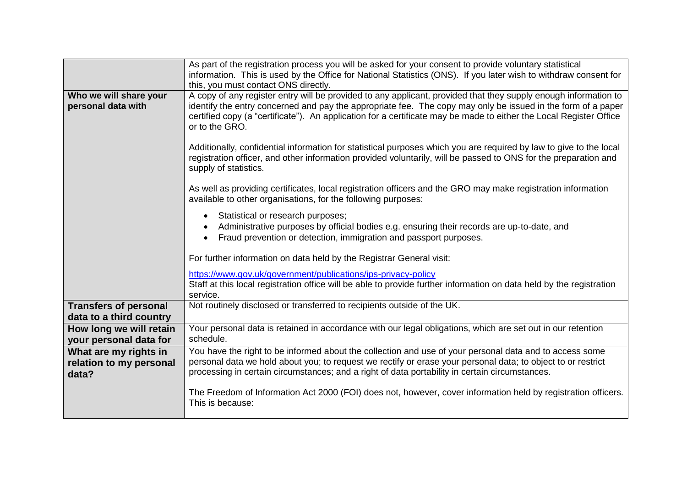|                                                         | As part of the registration process you will be asked for your consent to provide voluntary statistical<br>information. This is used by the Office for National Statistics (ONS). If you later wish to withdraw consent for<br>this, you must contact ONS directly.                                                                                                     |
|---------------------------------------------------------|-------------------------------------------------------------------------------------------------------------------------------------------------------------------------------------------------------------------------------------------------------------------------------------------------------------------------------------------------------------------------|
| Who we will share your<br>personal data with            | A copy of any register entry will be provided to any applicant, provided that they supply enough information to<br>identify the entry concerned and pay the appropriate fee. The copy may only be issued in the form of a paper<br>certified copy (a "certificate"). An application for a certificate may be made to either the Local Register Office<br>or to the GRO. |
|                                                         | Additionally, confidential information for statistical purposes which you are required by law to give to the local<br>registration officer, and other information provided voluntarily, will be passed to ONS for the preparation and<br>supply of statistics.                                                                                                          |
|                                                         | As well as providing certificates, local registration officers and the GRO may make registration information<br>available to other organisations, for the following purposes:                                                                                                                                                                                           |
|                                                         | Statistical or research purposes;<br>$\bullet$<br>Administrative purposes by official bodies e.g. ensuring their records are up-to-date, and<br>Fraud prevention or detection, immigration and passport purposes.                                                                                                                                                       |
|                                                         | For further information on data held by the Registrar General visit:                                                                                                                                                                                                                                                                                                    |
|                                                         | https://www.gov.uk/government/publications/ips-privacy-policy                                                                                                                                                                                                                                                                                                           |
|                                                         | Staff at this local registration office will be able to provide further information on data held by the registration<br>service.                                                                                                                                                                                                                                        |
| <b>Transfers of personal</b><br>data to a third country | Not routinely disclosed or transferred to recipients outside of the UK.                                                                                                                                                                                                                                                                                                 |
| How long we will retain<br>your personal data for       | Your personal data is retained in accordance with our legal obligations, which are set out in our retention<br>schedule.                                                                                                                                                                                                                                                |
| What are my rights in                                   | You have the right to be informed about the collection and use of your personal data and to access some                                                                                                                                                                                                                                                                 |
| relation to my personal<br>data?                        | personal data we hold about you; to request we rectify or erase your personal data; to object to or restrict<br>processing in certain circumstances; and a right of data portability in certain circumstances.                                                                                                                                                          |
|                                                         | The Freedom of Information Act 2000 (FOI) does not, however, cover information held by registration officers.<br>This is because:                                                                                                                                                                                                                                       |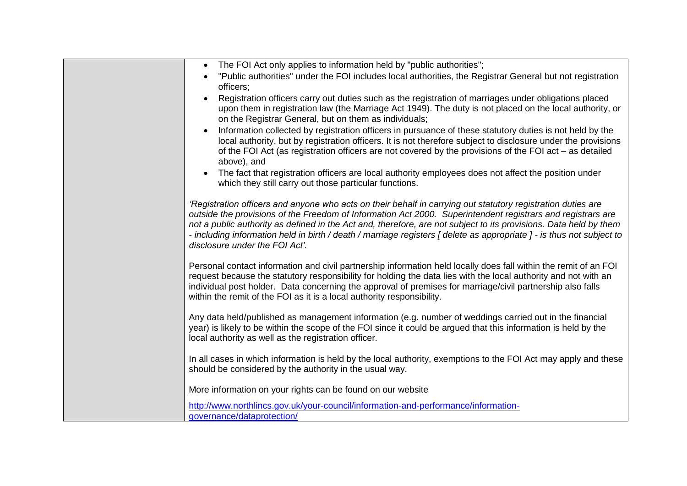| The FOI Act only applies to information held by "public authorities";<br>$\bullet$                                                                                                   |
|--------------------------------------------------------------------------------------------------------------------------------------------------------------------------------------|
| "Public authorities" under the FOI includes local authorities, the Registrar General but not registration                                                                            |
| officers;                                                                                                                                                                            |
| Registration officers carry out duties such as the registration of marriages under obligations placed                                                                                |
| upon them in registration law (the Marriage Act 1949). The duty is not placed on the local authority, or<br>on the Registrar General, but on them as individuals;                    |
| Information collected by registration officers in pursuance of these statutory duties is not held by the<br>$\bullet$                                                                |
| local authority, but by registration officers. It is not therefore subject to disclosure under the provisions                                                                        |
| of the FOI Act (as registration officers are not covered by the provisions of the FOI act – as detailed                                                                              |
| above), and                                                                                                                                                                          |
| The fact that registration officers are local authority employees does not affect the position under                                                                                 |
| which they still carry out those particular functions.                                                                                                                               |
| 'Registration officers and anyone who acts on their behalf in carrying out statutory registration duties are                                                                         |
| outside the provisions of the Freedom of Information Act 2000. Superintendent registrars and registrars are                                                                          |
| not a public authority as defined in the Act and, therefore, are not subject to its provisions. Data held by them                                                                    |
| - including information held in birth / death / marriage registers [ delete as appropriate ] - is thus not subject to<br>disclosure under the FOI Act'.                              |
|                                                                                                                                                                                      |
| Personal contact information and civil partnership information held locally does fall within the remit of an FOI                                                                     |
| request because the statutory responsibility for holding the data lies with the local authority and not with an                                                                      |
| individual post holder. Data concerning the approval of premises for marriage/civil partnership also falls<br>within the remit of the FOI as it is a local authority responsibility. |
|                                                                                                                                                                                      |
| Any data held/published as management information (e.g. number of weddings carried out in the financial                                                                              |
| year) is likely to be within the scope of the FOI since it could be argued that this information is held by the                                                                      |
| local authority as well as the registration officer.                                                                                                                                 |
| In all cases in which information is held by the local authority, exemptions to the FOI Act may apply and these                                                                      |
| should be considered by the authority in the usual way.                                                                                                                              |
|                                                                                                                                                                                      |
| More information on your rights can be found on our website                                                                                                                          |
| http://www.northlincs.gov.uk/your-council/information-and-performance/information-                                                                                                   |
| governance/dataprotection/                                                                                                                                                           |